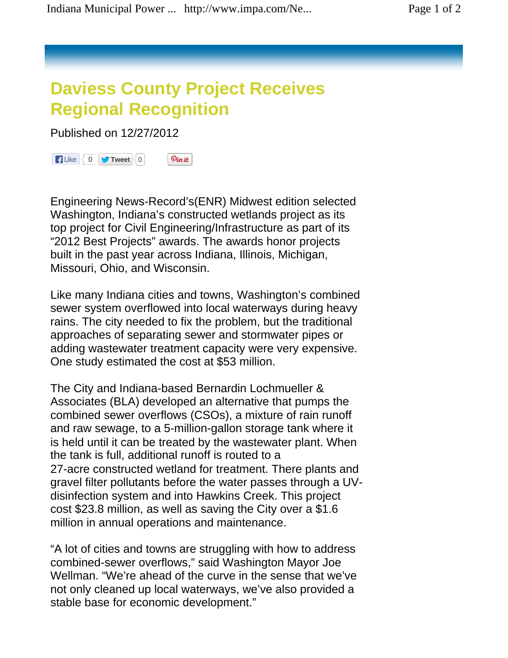## **Daviess County Project Receives Regional Recognition**

Published on 12/27/2012



Engineering News-Record's(ENR) Midwest edition selected Washington, Indiana's constructed wetlands project as its top project for Civil Engineering/Infrastructure as part of its "2012 Best Projects" awards. The awards honor projects built in the past year across Indiana, Illinois, Michigan, Missouri, Ohio, and Wisconsin.

Like many Indiana cities and towns, Washington's combined sewer system overflowed into local waterways during heavy rains. The city needed to fix the problem, but the traditional approaches of separating sewer and stormwater pipes or adding wastewater treatment capacity were very expensive. One study estimated the cost at \$53 million.

The City and Indiana-based Bernardin Lochmueller & Associates (BLA) developed an alternative that pumps the combined sewer overflows (CSOs), a mixture of rain runoff and raw sewage, to a 5-million-gallon storage tank where it is held until it can be treated by the wastewater plant. When the tank is full, additional runoff is routed to a 27-acre constructed wetland for treatment. There plants and gravel filter pollutants before the water passes through a UVdisinfection system and into Hawkins Creek. This project cost \$23.8 million, as well as saving the City over a \$1.6 million in annual operations and maintenance.

"A lot of cities and towns are struggling with how to address combined-sewer overflows," said Washington Mayor Joe Wellman. "We're ahead of the curve in the sense that we've not only cleaned up local waterways, we've also provided a stable base for economic development."